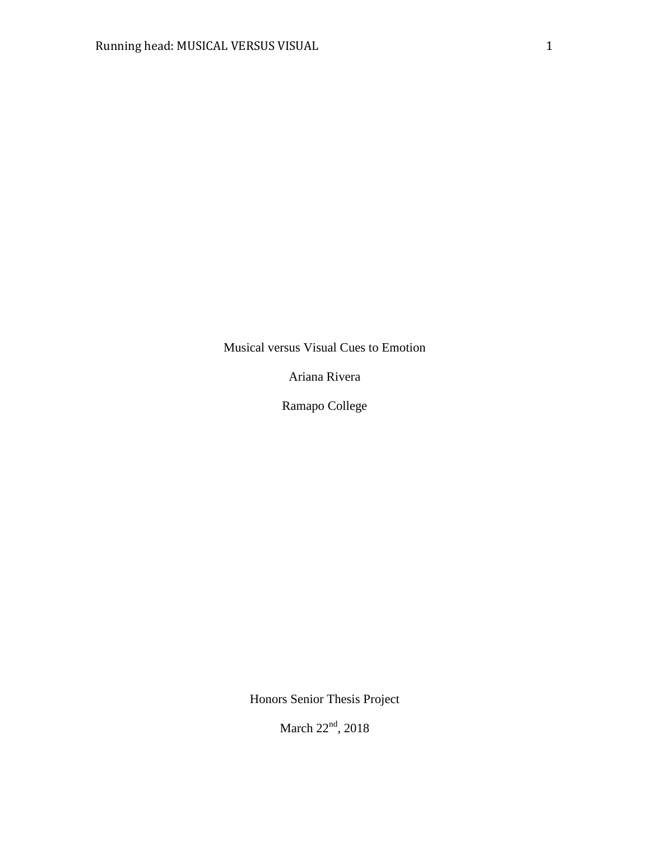Musical versus Visual Cues to Emotion

Ariana Rivera

Ramapo College

Honors Senior Thesis Project

March 22<sup>nd</sup>, 2018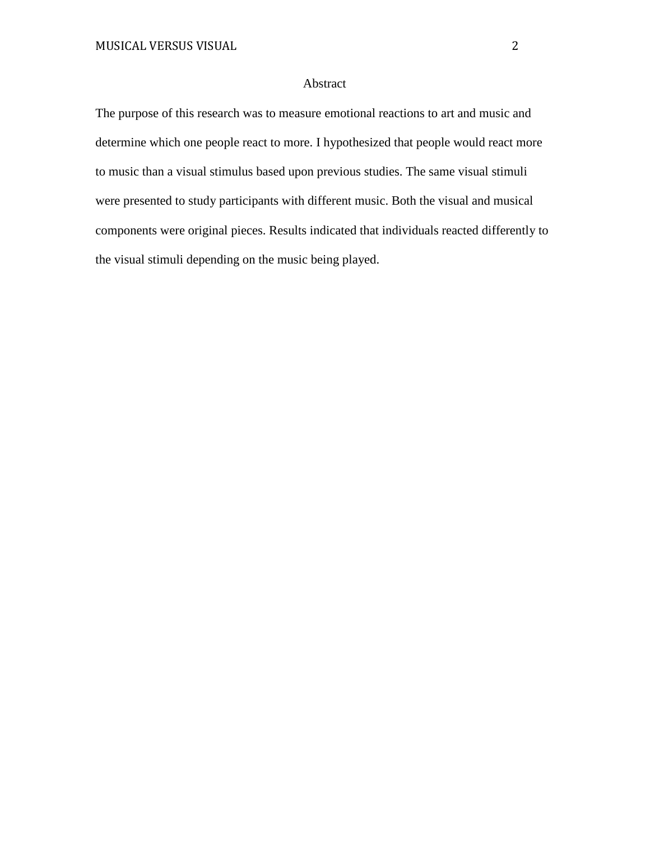## Abstract

The purpose of this research was to measure emotional reactions to art and music and determine which one people react to more. I hypothesized that people would react more to music than a visual stimulus based upon previous studies. The same visual stimuli were presented to study participants with different music. Both the visual and musical components were original pieces. Results indicated that individuals reacted differently to the visual stimuli depending on the music being played.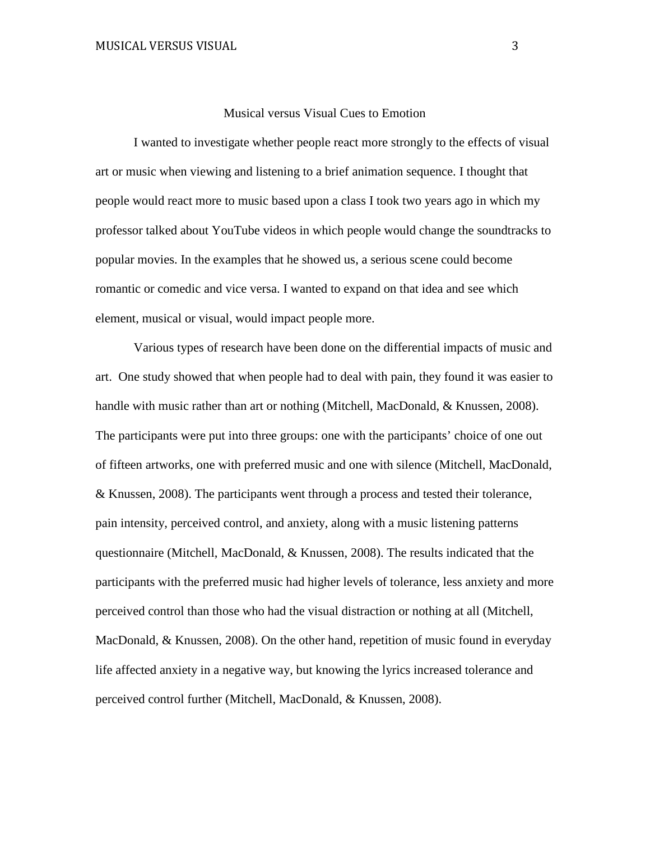#### Musical versus Visual Cues to Emotion

I wanted to investigate whether people react more strongly to the effects of visual art or music when viewing and listening to a brief animation sequence. I thought that people would react more to music based upon a class I took two years ago in which my professor talked about YouTube videos in which people would change the soundtracks to popular movies. In the examples that he showed us, a serious scene could become romantic or comedic and vice versa. I wanted to expand on that idea and see which element, musical or visual, would impact people more.

Various types of research have been done on the differential impacts of music and art. One study showed that when people had to deal with pain, they found it was easier to handle with music rather than art or nothing (Mitchell, MacDonald, & Knussen, 2008). The participants were put into three groups: one with the participants' choice of one out of fifteen artworks, one with preferred music and one with silence (Mitchell, MacDonald, & Knussen, 2008). The participants went through a process and tested their tolerance, pain intensity, perceived control, and anxiety, along with a music listening patterns questionnaire (Mitchell, MacDonald, & Knussen, 2008). The results indicated that the participants with the preferred music had higher levels of tolerance, less anxiety and more perceived control than those who had the visual distraction or nothing at all (Mitchell, MacDonald, & Knussen, 2008). On the other hand, repetition of music found in everyday life affected anxiety in a negative way, but knowing the lyrics increased tolerance and perceived control further (Mitchell, MacDonald, & Knussen, 2008).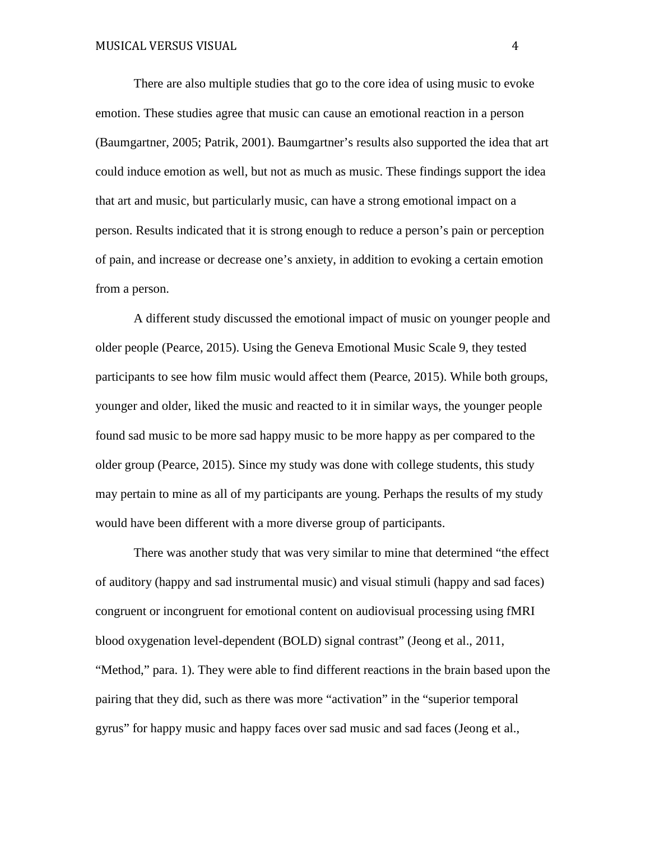There are also multiple studies that go to the core idea of using music to evoke emotion. These studies agree that music can cause an emotional reaction in a person (Baumgartner, 2005; Patrik, 2001). Baumgartner's results also supported the idea that art could induce emotion as well, but not as much as music. These findings support the idea that art and music, but particularly music, can have a strong emotional impact on a person. Results indicated that it is strong enough to reduce a person's pain or perception of pain, and increase or decrease one's anxiety, in addition to evoking a certain emotion from a person.

A different study discussed the emotional impact of music on younger people and older people (Pearce, 2015). Using the Geneva Emotional Music Scale 9, they tested participants to see how film music would affect them (Pearce, 2015). While both groups, younger and older, liked the music and reacted to it in similar ways, the younger people found sad music to be more sad happy music to be more happy as per compared to the older group (Pearce, 2015). Since my study was done with college students, this study may pertain to mine as all of my participants are young. Perhaps the results of my study would have been different with a more diverse group of participants.

There was another study that was very similar to mine that determined "the effect of auditory (happy and sad instrumental music) and visual stimuli (happy and sad faces) congruent or incongruent for emotional content on audiovisual processing using fMRI blood oxygenation level-dependent (BOLD) signal contrast" (Jeong et al., 2011, "Method," para. 1). They were able to find different reactions in the brain based upon the pairing that they did, such as there was more "activation" in the "superior temporal gyrus" for happy music and happy faces over sad music and sad faces (Jeong et al.,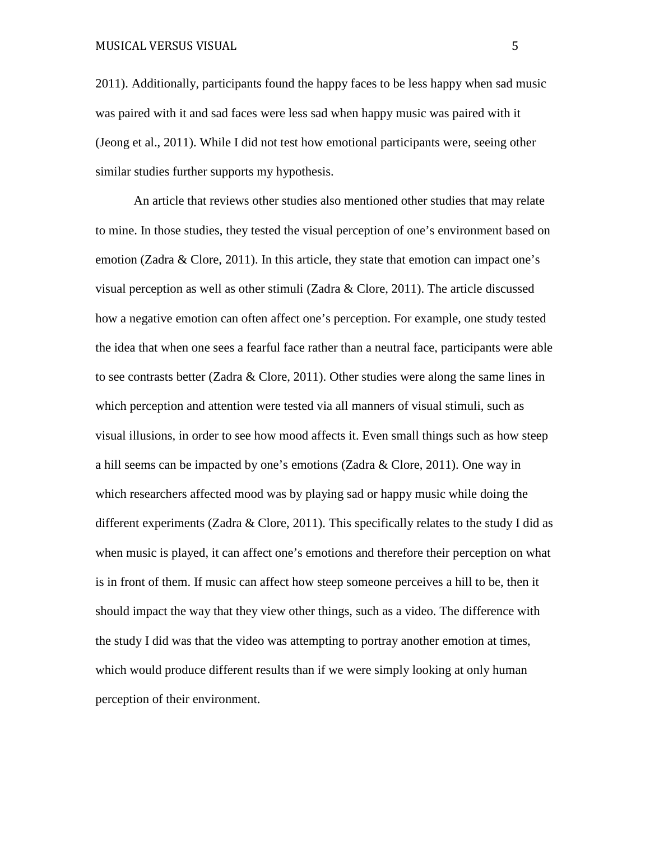2011). Additionally, participants found the happy faces to be less happy when sad music was paired with it and sad faces were less sad when happy music was paired with it (Jeong et al., 2011). While I did not test how emotional participants were, seeing other similar studies further supports my hypothesis.

An article that reviews other studies also mentioned other studies that may relate to mine. In those studies, they tested the visual perception of one's environment based on emotion (Zadra & Clore, 2011). In this article, they state that emotion can impact one's visual perception as well as other stimuli (Zadra & Clore, 2011). The article discussed how a negative emotion can often affect one's perception. For example, one study tested the idea that when one sees a fearful face rather than a neutral face, participants were able to see contrasts better (Zadra & Clore, 2011). Other studies were along the same lines in which perception and attention were tested via all manners of visual stimuli, such as visual illusions, in order to see how mood affects it. Even small things such as how steep a hill seems can be impacted by one's emotions (Zadra & Clore, 2011). One way in which researchers affected mood was by playing sad or happy music while doing the different experiments (Zadra & Clore, 2011). This specifically relates to the study I did as when music is played, it can affect one's emotions and therefore their perception on what is in front of them. If music can affect how steep someone perceives a hill to be, then it should impact the way that they view other things, such as a video. The difference with the study I did was that the video was attempting to portray another emotion at times, which would produce different results than if we were simply looking at only human perception of their environment.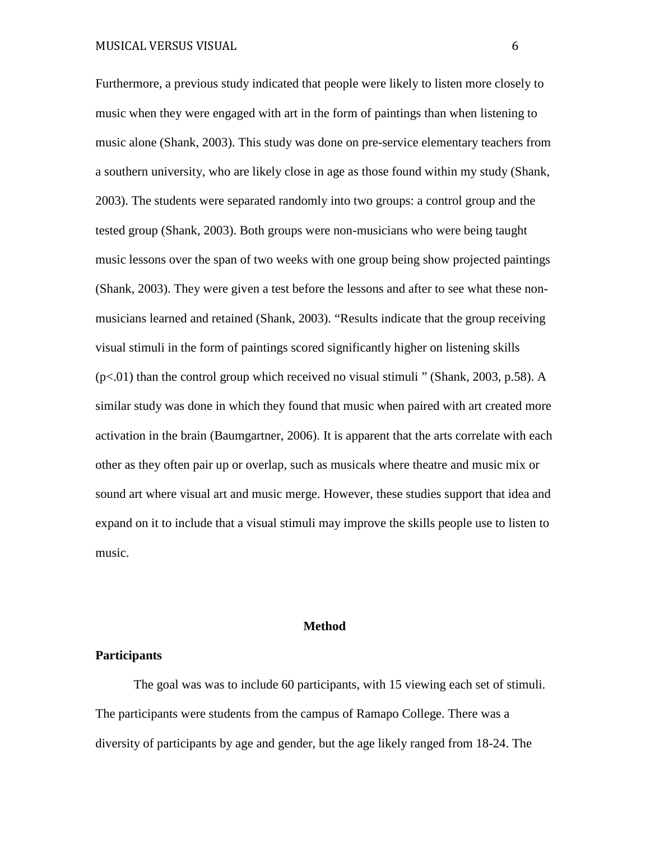Furthermore, a previous study indicated that people were likely to listen more closely to music when they were engaged with art in the form of paintings than when listening to music alone (Shank, 2003). This study was done on pre-service elementary teachers from a southern university, who are likely close in age as those found within my study (Shank, 2003). The students were separated randomly into two groups: a control group and the tested group (Shank, 2003). Both groups were non-musicians who were being taught music lessons over the span of two weeks with one group being show projected paintings (Shank, 2003). They were given a test before the lessons and after to see what these nonmusicians learned and retained (Shank, 2003). "Results indicate that the group receiving visual stimuli in the form of paintings scored significantly higher on listening skills  $(p<.01)$  than the control group which received no visual stimuli " (Shank, 2003, p.58). A similar study was done in which they found that music when paired with art created more activation in the brain (Baumgartner, 2006). It is apparent that the arts correlate with each other as they often pair up or overlap, such as musicals where theatre and music mix or sound art where visual art and music merge. However, these studies support that idea and expand on it to include that a visual stimuli may improve the skills people use to listen to music.

## **Method**

#### **Participants**

The goal was was to include 60 participants, with 15 viewing each set of stimuli. The participants were students from the campus of Ramapo College. There was a diversity of participants by age and gender, but the age likely ranged from 18-24. The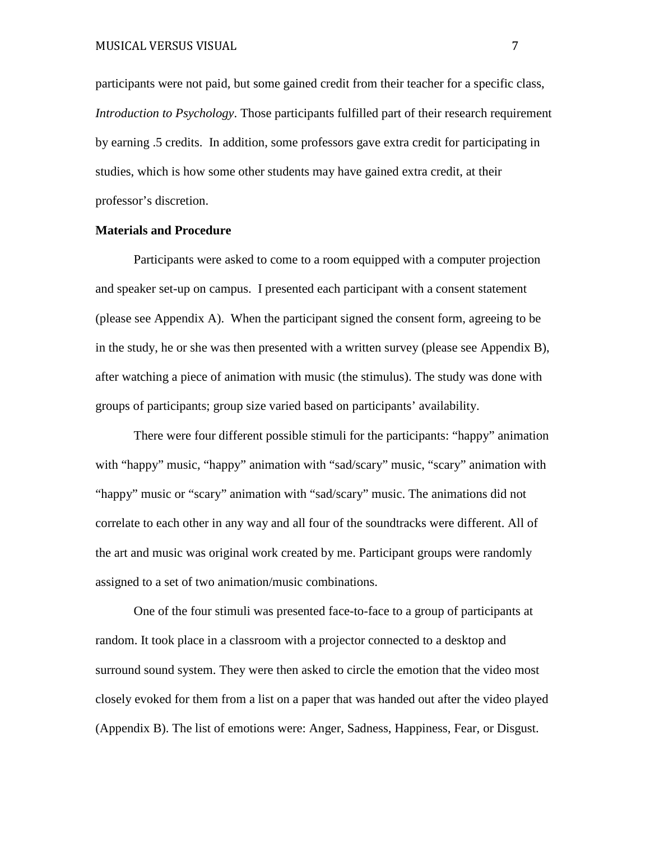participants were not paid, but some gained credit from their teacher for a specific class, *Introduction to Psychology*. Those participants fulfilled part of their research requirement by earning .5 credits. In addition, some professors gave extra credit for participating in studies, which is how some other students may have gained extra credit, at their professor's discretion.

## **Materials and Procedure**

Participants were asked to come to a room equipped with a computer projection and speaker set-up on campus. I presented each participant with a consent statement (please see Appendix A). When the participant signed the consent form, agreeing to be in the study, he or she was then presented with a written survey (please see Appendix B), after watching a piece of animation with music (the stimulus). The study was done with groups of participants; group size varied based on participants' availability.

There were four different possible stimuli for the participants: "happy" animation with "happy" music, "happy" animation with "sad/scary" music, "scary" animation with "happy" music or "scary" animation with "sad/scary" music. The animations did not correlate to each other in any way and all four of the soundtracks were different. All of the art and music was original work created by me. Participant groups were randomly assigned to a set of two animation/music combinations.

One of the four stimuli was presented face-to-face to a group of participants at random. It took place in a classroom with a projector connected to a desktop and surround sound system. They were then asked to circle the emotion that the video most closely evoked for them from a list on a paper that was handed out after the video played (Appendix B). The list of emotions were: Anger, Sadness, Happiness, Fear, or Disgust.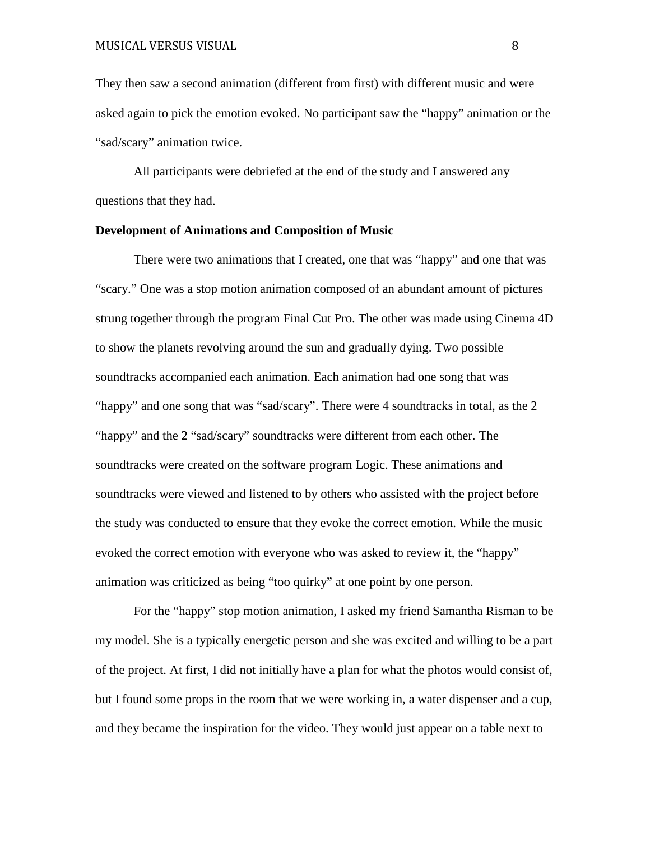They then saw a second animation (different from first) with different music and were asked again to pick the emotion evoked. No participant saw the "happy" animation or the "sad/scary" animation twice.

All participants were debriefed at the end of the study and I answered any questions that they had.

## **Development of Animations and Composition of Music**

There were two animations that I created, one that was "happy" and one that was "scary." One was a stop motion animation composed of an abundant amount of pictures strung together through the program Final Cut Pro. The other was made using Cinema 4D to show the planets revolving around the sun and gradually dying. Two possible soundtracks accompanied each animation. Each animation had one song that was "happy" and one song that was "sad/scary". There were 4 soundtracks in total, as the 2 "happy" and the 2 "sad/scary" soundtracks were different from each other. The soundtracks were created on the software program Logic. These animations and soundtracks were viewed and listened to by others who assisted with the project before the study was conducted to ensure that they evoke the correct emotion. While the music evoked the correct emotion with everyone who was asked to review it, the "happy" animation was criticized as being "too quirky" at one point by one person.

For the "happy" stop motion animation, I asked my friend Samantha Risman to be my model. She is a typically energetic person and she was excited and willing to be a part of the project. At first, I did not initially have a plan for what the photos would consist of, but I found some props in the room that we were working in, a water dispenser and a cup, and they became the inspiration for the video. They would just appear on a table next to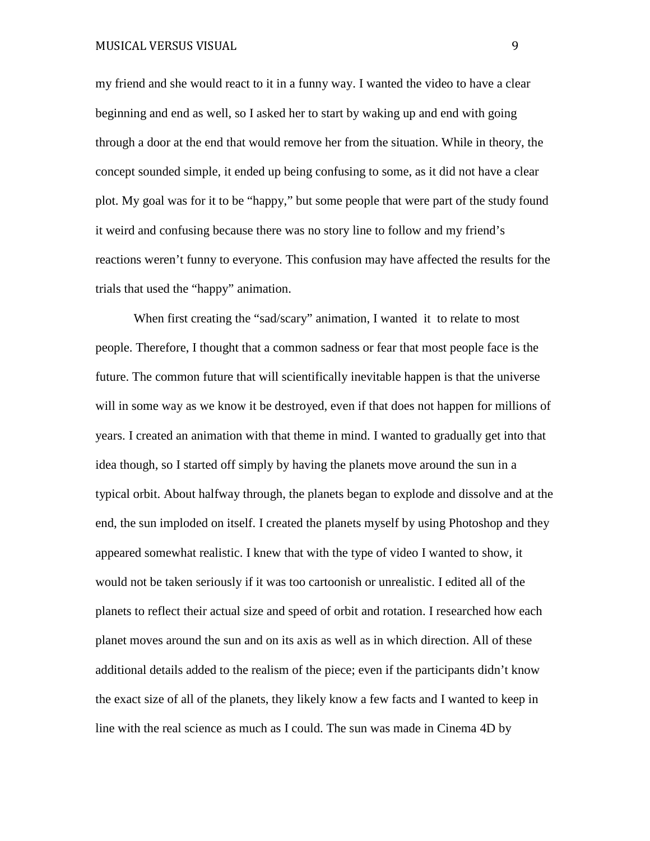my friend and she would react to it in a funny way. I wanted the video to have a clear beginning and end as well, so I asked her to start by waking up and end with going through a door at the end that would remove her from the situation. While in theory, the concept sounded simple, it ended up being confusing to some, as it did not have a clear plot. My goal was for it to be "happy," but some people that were part of the study found it weird and confusing because there was no story line to follow and my friend's reactions weren't funny to everyone. This confusion may have affected the results for the trials that used the "happy" animation.

When first creating the "sad/scary" animation, I wanted it to relate to most people. Therefore, I thought that a common sadness or fear that most people face is the future. The common future that will scientifically inevitable happen is that the universe will in some way as we know it be destroyed, even if that does not happen for millions of years. I created an animation with that theme in mind. I wanted to gradually get into that idea though, so I started off simply by having the planets move around the sun in a typical orbit. About halfway through, the planets began to explode and dissolve and at the end, the sun imploded on itself. I created the planets myself by using Photoshop and they appeared somewhat realistic. I knew that with the type of video I wanted to show, it would not be taken seriously if it was too cartoonish or unrealistic. I edited all of the planets to reflect their actual size and speed of orbit and rotation. I researched how each planet moves around the sun and on its axis as well as in which direction. All of these additional details added to the realism of the piece; even if the participants didn't know the exact size of all of the planets, they likely know a few facts and I wanted to keep in line with the real science as much as I could. The sun was made in Cinema 4D by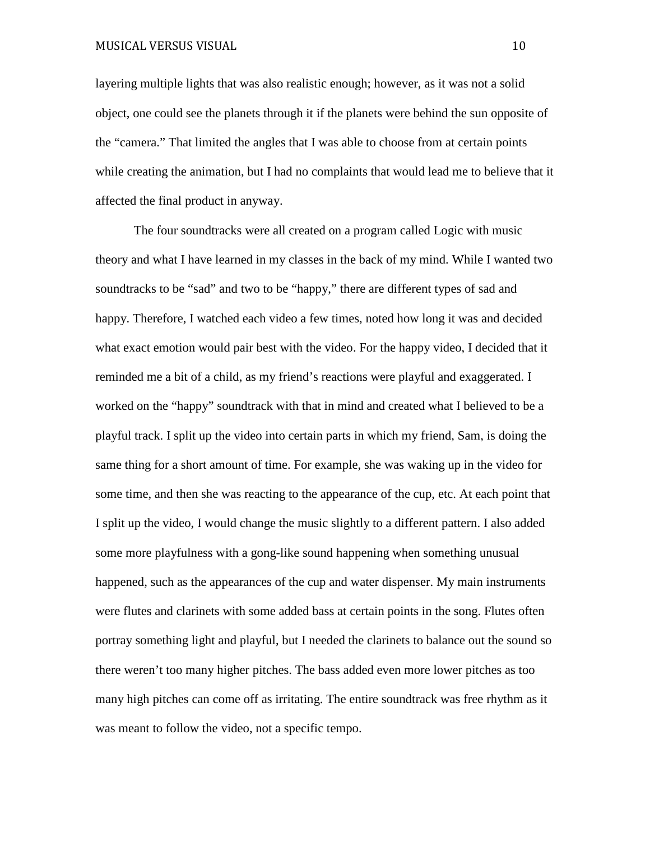layering multiple lights that was also realistic enough; however, as it was not a solid object, one could see the planets through it if the planets were behind the sun opposite of the "camera." That limited the angles that I was able to choose from at certain points while creating the animation, but I had no complaints that would lead me to believe that it affected the final product in anyway.

The four soundtracks were all created on a program called Logic with music theory and what I have learned in my classes in the back of my mind. While I wanted two soundtracks to be "sad" and two to be "happy," there are different types of sad and happy. Therefore, I watched each video a few times, noted how long it was and decided what exact emotion would pair best with the video. For the happy video, I decided that it reminded me a bit of a child, as my friend's reactions were playful and exaggerated. I worked on the "happy" soundtrack with that in mind and created what I believed to be a playful track. I split up the video into certain parts in which my friend, Sam, is doing the same thing for a short amount of time. For example, she was waking up in the video for some time, and then she was reacting to the appearance of the cup, etc. At each point that I split up the video, I would change the music slightly to a different pattern. I also added some more playfulness with a gong-like sound happening when something unusual happened, such as the appearances of the cup and water dispenser. My main instruments were flutes and clarinets with some added bass at certain points in the song. Flutes often portray something light and playful, but I needed the clarinets to balance out the sound so there weren't too many higher pitches. The bass added even more lower pitches as too many high pitches can come off as irritating. The entire soundtrack was free rhythm as it was meant to follow the video, not a specific tempo.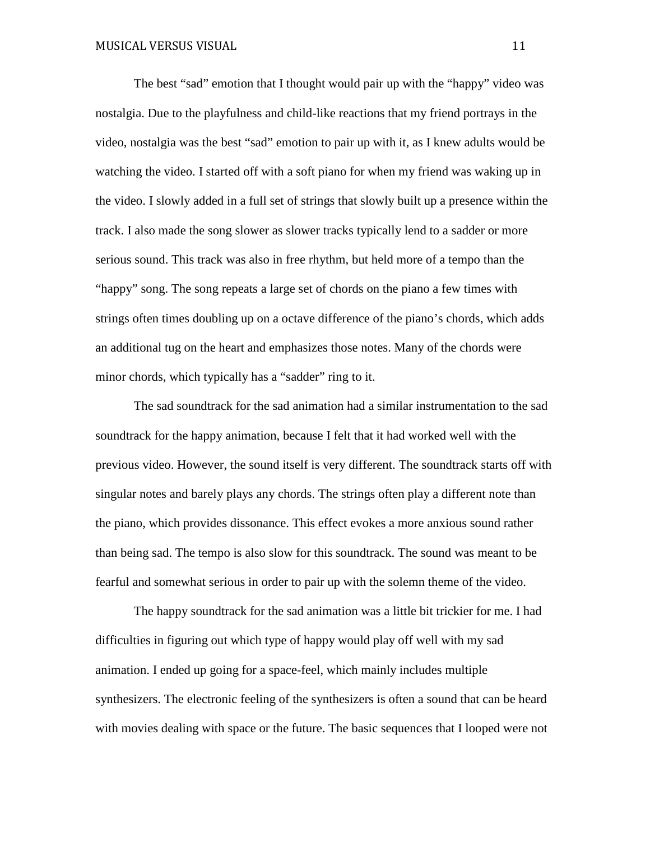The best "sad" emotion that I thought would pair up with the "happy" video was nostalgia. Due to the playfulness and child-like reactions that my friend portrays in the video, nostalgia was the best "sad" emotion to pair up with it, as I knew adults would be watching the video. I started off with a soft piano for when my friend was waking up in the video. I slowly added in a full set of strings that slowly built up a presence within the track. I also made the song slower as slower tracks typically lend to a sadder or more serious sound. This track was also in free rhythm, but held more of a tempo than the "happy" song. The song repeats a large set of chords on the piano a few times with strings often times doubling up on a octave difference of the piano's chords, which adds an additional tug on the heart and emphasizes those notes. Many of the chords were minor chords, which typically has a "sadder" ring to it.

The sad soundtrack for the sad animation had a similar instrumentation to the sad soundtrack for the happy animation, because I felt that it had worked well with the previous video. However, the sound itself is very different. The soundtrack starts off with singular notes and barely plays any chords. The strings often play a different note than the piano, which provides dissonance. This effect evokes a more anxious sound rather than being sad. The tempo is also slow for this soundtrack. The sound was meant to be fearful and somewhat serious in order to pair up with the solemn theme of the video.

The happy soundtrack for the sad animation was a little bit trickier for me. I had difficulties in figuring out which type of happy would play off well with my sad animation. I ended up going for a space-feel, which mainly includes multiple synthesizers. The electronic feeling of the synthesizers is often a sound that can be heard with movies dealing with space or the future. The basic sequences that I looped were not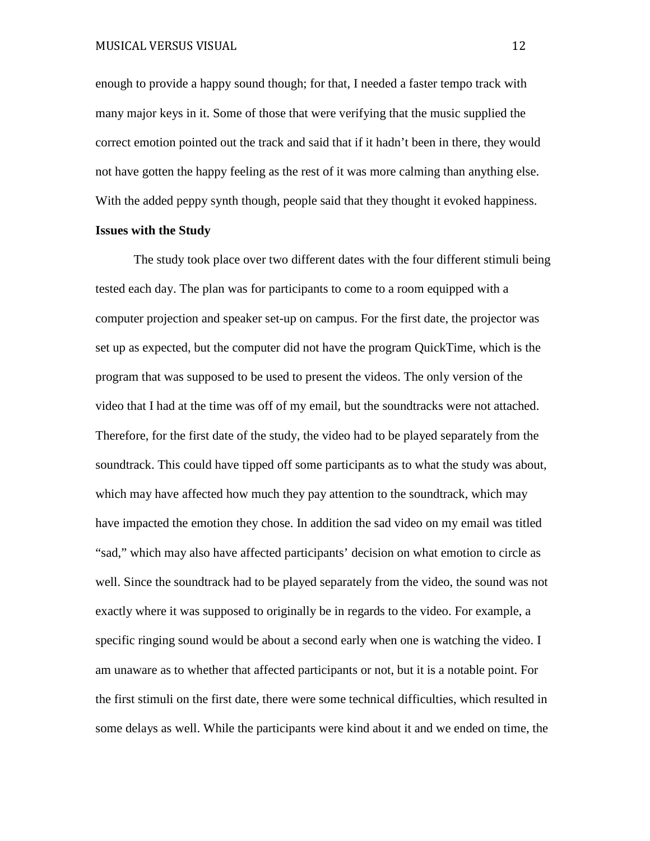enough to provide a happy sound though; for that, I needed a faster tempo track with many major keys in it. Some of those that were verifying that the music supplied the correct emotion pointed out the track and said that if it hadn't been in there, they would not have gotten the happy feeling as the rest of it was more calming than anything else. With the added peppy synth though, people said that they thought it evoked happiness.

## **Issues with the Study**

The study took place over two different dates with the four different stimuli being tested each day. The plan was for participants to come to a room equipped with a computer projection and speaker set-up on campus. For the first date, the projector was set up as expected, but the computer did not have the program QuickTime, which is the program that was supposed to be used to present the videos. The only version of the video that I had at the time was off of my email, but the soundtracks were not attached. Therefore, for the first date of the study, the video had to be played separately from the soundtrack. This could have tipped off some participants as to what the study was about, which may have affected how much they pay attention to the soundtrack, which may have impacted the emotion they chose. In addition the sad video on my email was titled "sad," which may also have affected participants' decision on what emotion to circle as well. Since the soundtrack had to be played separately from the video, the sound was not exactly where it was supposed to originally be in regards to the video. For example, a specific ringing sound would be about a second early when one is watching the video. I am unaware as to whether that affected participants or not, but it is a notable point. For the first stimuli on the first date, there were some technical difficulties, which resulted in some delays as well. While the participants were kind about it and we ended on time, the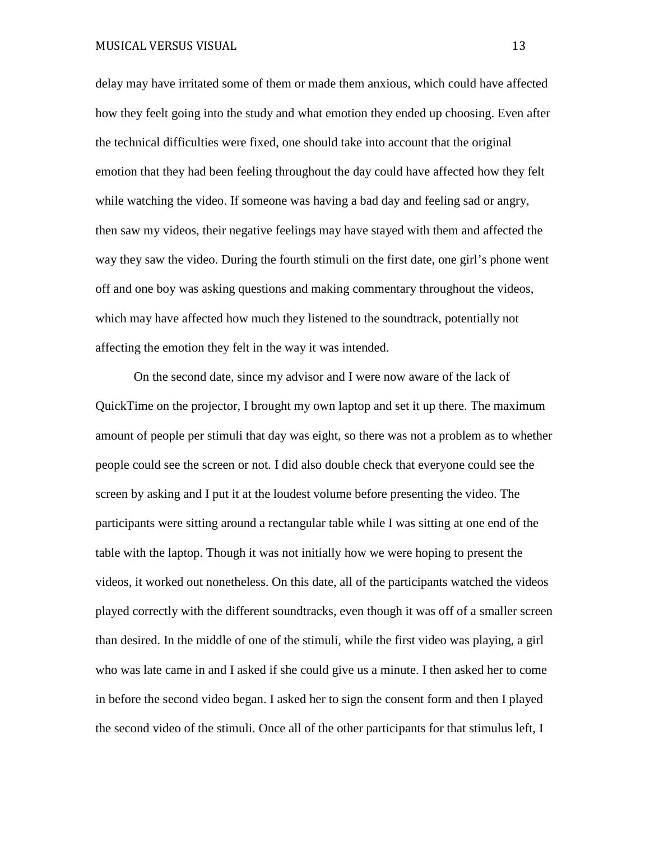delay may have irritated some of them or made them anxious, which could have affected how they feelt going into the study and what emotion they ended up choosing. Even after the technical difficulties were fixed, one should take into account that the original emotion that they had been feeling throughout the day could have affected how they felt while watching the video. If someone was having a bad day and feeling sad or angry, then saw my videos, their negative feelings may have stayed with them and affected the way they saw the video. During the fourth stimuli on the first date, one girl's phone went off and one boy was asking questions and making commentary throughout the videos, which may have affected how much they listened to the soundtrack, potentially not affecting the emotion they felt in the way it was intended.

On the second date, since my advisor and I were now aware of the lack of QuickTime on the projector, I brought my own laptop and set it up there. The maximum amount of people per stimuli that day was eight, so there was not a problem as to whether people could see the screen or not. I did also double check that everyone could see the screen by asking and I put it at the loudest volume before presenting the video. The participants were sitting around a rectangular table while I was sitting at one end of the table with the laptop. Though it was not initially how we were hoping to present the videos, it worked out nonetheless. On this date, all of the participants watched the videos played correctly with the different soundtracks, even though it was off of a smaller screen than desired. In the middle of one of the stimuli, while the first video was playing, a girl who was late came in and I asked if she could give us a minute. I then asked her to come in before the second video began. I asked her to sign the consent form and then I played the second video of the stimuli. Once all of the other participants for that stimulus left, I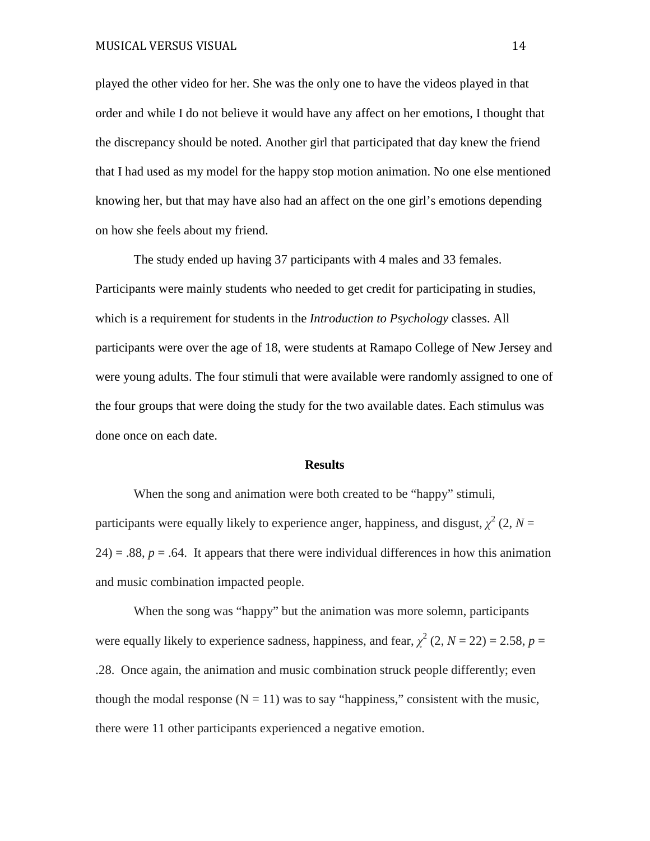played the other video for her. She was the only one to have the videos played in that order and while I do not believe it would have any affect on her emotions, I thought that the discrepancy should be noted. Another girl that participated that day knew the friend that I had used as my model for the happy stop motion animation. No one else mentioned knowing her, but that may have also had an affect on the one girl's emotions depending on how she feels about my friend.

The study ended up having 37 participants with 4 males and 33 females. Participants were mainly students who needed to get credit for participating in studies, which is a requirement for students in the *Introduction to Psychology* classes. All participants were over the age of 18, were students at Ramapo College of New Jersey and were young adults. The four stimuli that were available were randomly assigned to one of the four groups that were doing the study for the two available dates. Each stimulus was done once on each date.

#### **Results**

When the song and animation were both created to be "happy" stimuli, participants were equally likely to experience anger, happiness, and disgust,  $\chi^2(2, N=$  $24$ ) = .88,  $p = .64$ . It appears that there were individual differences in how this animation and music combination impacted people.

When the song was "happy" but the animation was more solemn, participants were equally likely to experience sadness, happiness, and fear,  $\chi^2$  (2,  $N = 22$ ) = 2.58,  $p =$ .28. Once again, the animation and music combination struck people differently; even though the modal response  $(N = 11)$  was to say "happiness," consistent with the music, there were 11 other participants experienced a negative emotion.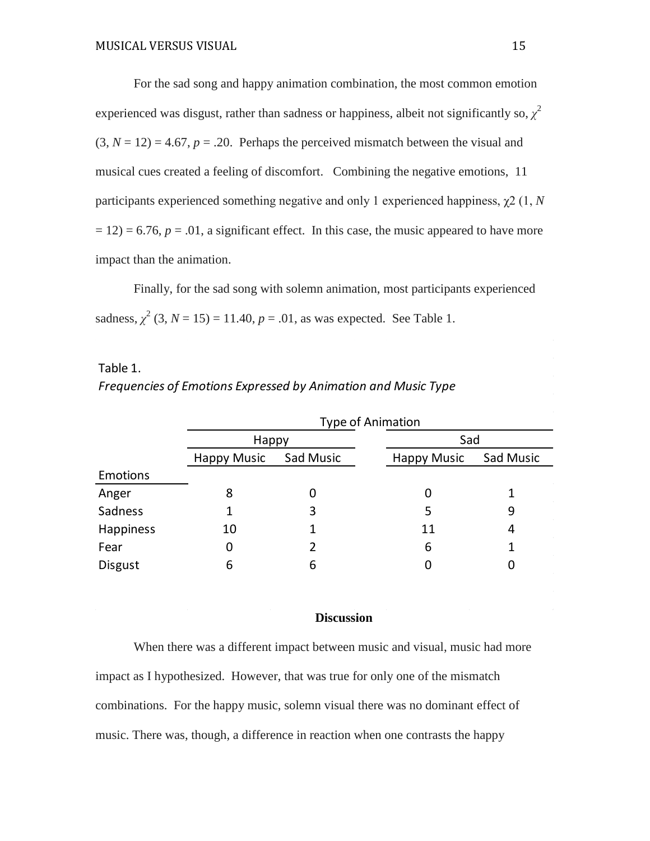For the sad song and happy animation combination, the most common emotion experienced was disgust, rather than sadness or happiness, albeit not significantly so,  $\chi^2$  $(3, N = 12) = 4.67$ ,  $p = .20$ . Perhaps the perceived mismatch between the visual and musical cues created a feeling of discomfort. Combining the negative emotions, 11 participants experienced something negative and only 1 experienced happiness, χ2 (1, *N*  $(12) = 6.76$ ,  $p = .01$ , a significant effect. In this case, the music appeared to have more impact than the animation.

Finally, for the sad song with solemn animation, most participants experienced sadness,  $\chi^2$  (3, *N* = 15) = 11.40, *p* = .01, as was expected. See Table 1.

|           | <b>FIEQUETICIES OF EMPLOIDITS LADIESSED by AMMIDION UNU MUSIC TYPE</b> |           |                    |                  |  |  |  |  |
|-----------|------------------------------------------------------------------------|-----------|--------------------|------------------|--|--|--|--|
|           | <b>Type of Animation</b>                                               |           |                    |                  |  |  |  |  |
|           | Happy                                                                  |           |                    | Sad              |  |  |  |  |
|           | <b>Happy Music</b>                                                     | Sad Music | <b>Happy Music</b> | <b>Sad Music</b> |  |  |  |  |
| Emotions  |                                                                        |           |                    |                  |  |  |  |  |
| Anger     | 8                                                                      | 0         |                    |                  |  |  |  |  |
| Sadness   |                                                                        | 3         | 5                  | 9                |  |  |  |  |
| Happiness | 10                                                                     |           | 11                 | 4                |  |  |  |  |

Fear 0 2 6 1 Disgust 6 6 6 0 0

Table 1. *Frequencies of Emotions Expressed by Animation and Music Type*

## **Discussion**

When there was a different impact between music and visual, music had more impact as I hypothesized. However, that was true for only one of the mismatch combinations. For the happy music, solemn visual there was no dominant effect of music. There was, though, a difference in reaction when one contrasts the happy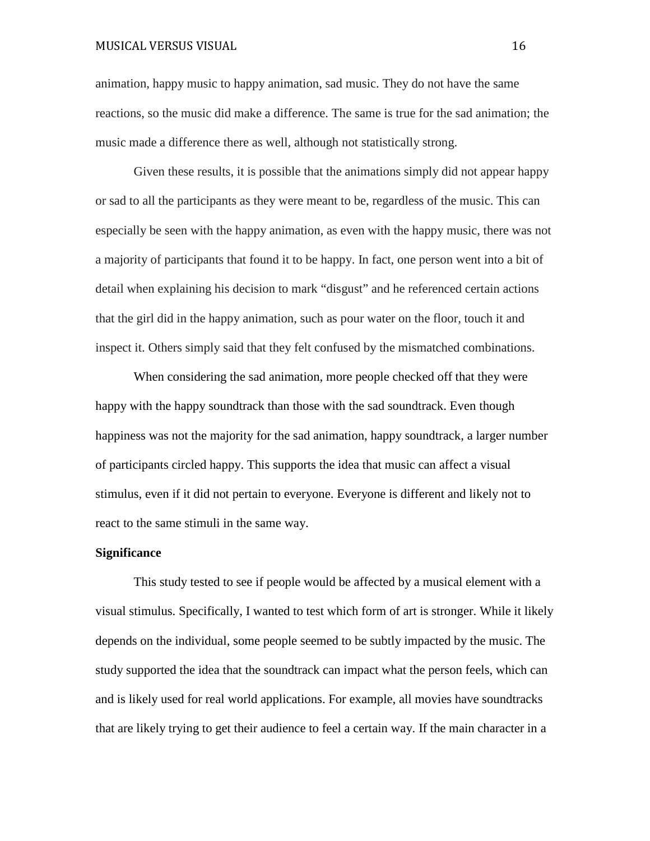animation, happy music to happy animation, sad music. They do not have the same reactions, so the music did make a difference. The same is true for the sad animation; the music made a difference there as well, although not statistically strong.

Given these results, it is possible that the animations simply did not appear happy or sad to all the participants as they were meant to be, regardless of the music. This can especially be seen with the happy animation, as even with the happy music, there was not a majority of participants that found it to be happy. In fact, one person went into a bit of detail when explaining his decision to mark "disgust" and he referenced certain actions that the girl did in the happy animation, such as pour water on the floor, touch it and inspect it. Others simply said that they felt confused by the mismatched combinations.

When considering the sad animation, more people checked off that they were happy with the happy soundtrack than those with the sad soundtrack. Even though happiness was not the majority for the sad animation, happy soundtrack, a larger number of participants circled happy. This supports the idea that music can affect a visual stimulus, even if it did not pertain to everyone. Everyone is different and likely not to react to the same stimuli in the same way.

#### **Significance**

This study tested to see if people would be affected by a musical element with a visual stimulus. Specifically, I wanted to test which form of art is stronger. While it likely depends on the individual, some people seemed to be subtly impacted by the music. The study supported the idea that the soundtrack can impact what the person feels, which can and is likely used for real world applications. For example, all movies have soundtracks that are likely trying to get their audience to feel a certain way. If the main character in a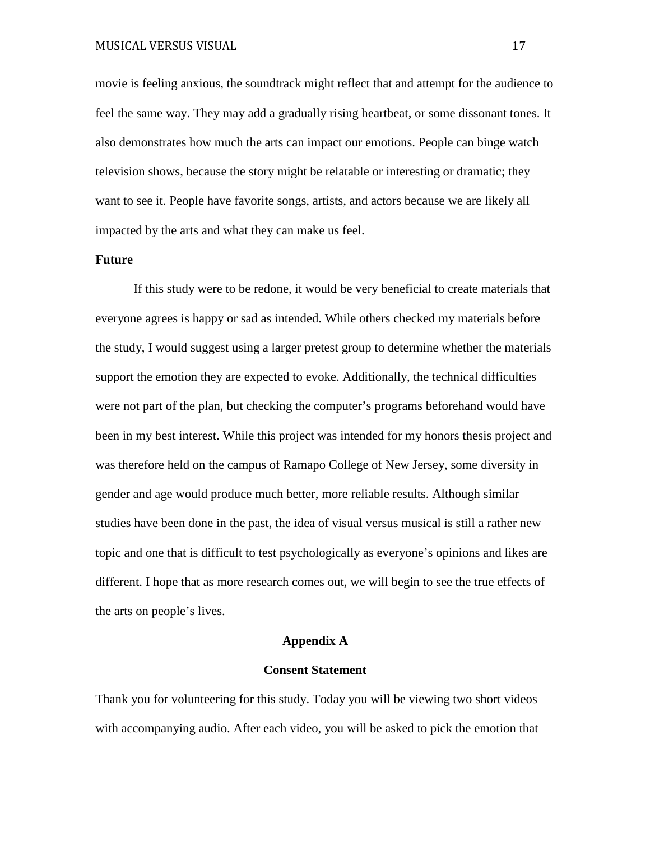movie is feeling anxious, the soundtrack might reflect that and attempt for the audience to feel the same way. They may add a gradually rising heartbeat, or some dissonant tones. It also demonstrates how much the arts can impact our emotions. People can binge watch television shows, because the story might be relatable or interesting or dramatic; they want to see it. People have favorite songs, artists, and actors because we are likely all impacted by the arts and what they can make us feel.

## **Future**

If this study were to be redone, it would be very beneficial to create materials that everyone agrees is happy or sad as intended. While others checked my materials before the study, I would suggest using a larger pretest group to determine whether the materials support the emotion they are expected to evoke. Additionally, the technical difficulties were not part of the plan, but checking the computer's programs beforehand would have been in my best interest. While this project was intended for my honors thesis project and was therefore held on the campus of Ramapo College of New Jersey, some diversity in gender and age would produce much better, more reliable results. Although similar studies have been done in the past, the idea of visual versus musical is still a rather new topic and one that is difficult to test psychologically as everyone's opinions and likes are different. I hope that as more research comes out, we will begin to see the true effects of the arts on people's lives.

#### **Appendix A**

#### **Consent Statement**

Thank you for volunteering for this study. Today you will be viewing two short videos with accompanying audio. After each video, you will be asked to pick the emotion that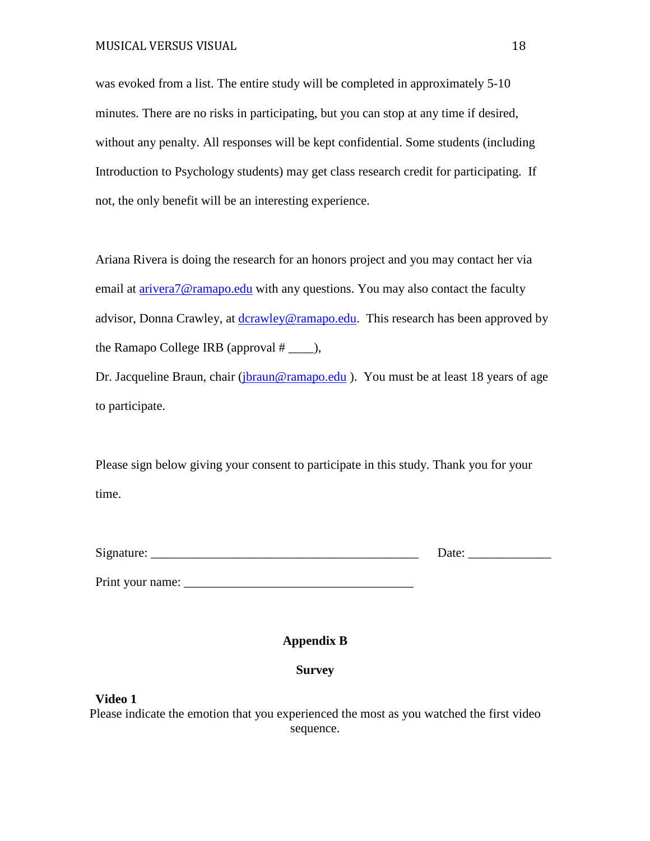was evoked from a list. The entire study will be completed in approximately 5-10 minutes. There are no risks in participating, but you can stop at any time if desired, without any penalty. All responses will be kept confidential. Some students (including Introduction to Psychology students) may get class research credit for participating. If not, the only benefit will be an interesting experience.

Ariana Rivera is doing the research for an honors project and you may contact her via email at [arivera7@ramapo.edu](mailto:arivera7@ramapo.edu) with any questions. You may also contact the faculty advisor, Donna Crawley, at [dcrawley@ramapo.edu.](mailto:dcrawley@ramapo.edu) This research has been approved by the Ramapo College IRB (approval # \_\_\_\_),

Dr. Jacqueline Braun, chair [\(jbraun@ramapo.edu](mailto:jbraun@ramapo.edu)). You must be at least 18 years of age to participate.

Please sign below giving your consent to participate in this study. Thank you for your time.

| $\sim$<br>$\mathbf{M}$<br>mme |  |
|-------------------------------|--|
|-------------------------------|--|

Print your name: \_\_\_\_\_\_\_\_\_\_\_\_\_\_\_\_\_\_\_\_\_\_\_\_\_\_\_\_\_\_\_\_\_\_\_\_

# **Appendix B**

# **Survey**

## **Video 1**

Please indicate the emotion that you experienced the most as you watched the first video sequence.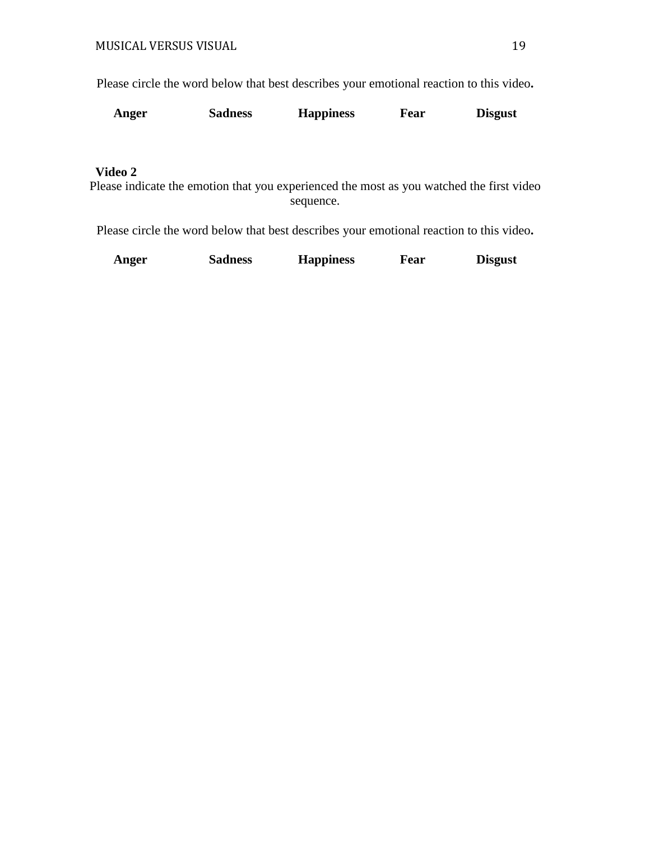Please circle the word below that best describes your emotional reaction to this video**.**

| Anger<br><b>Sadness</b> | <b>Happiness</b> | Fear | <b>Disgust</b> |
|-------------------------|------------------|------|----------------|
|-------------------------|------------------|------|----------------|

# **Video 2**

Please indicate the emotion that you experienced the most as you watched the first video sequence.

Please circle the word below that best describes your emotional reaction to this video**.**

|  | Anger | <b>Sadness</b> | <b>Happiness</b> | Fear | <b>Disgust</b> |
|--|-------|----------------|------------------|------|----------------|
|--|-------|----------------|------------------|------|----------------|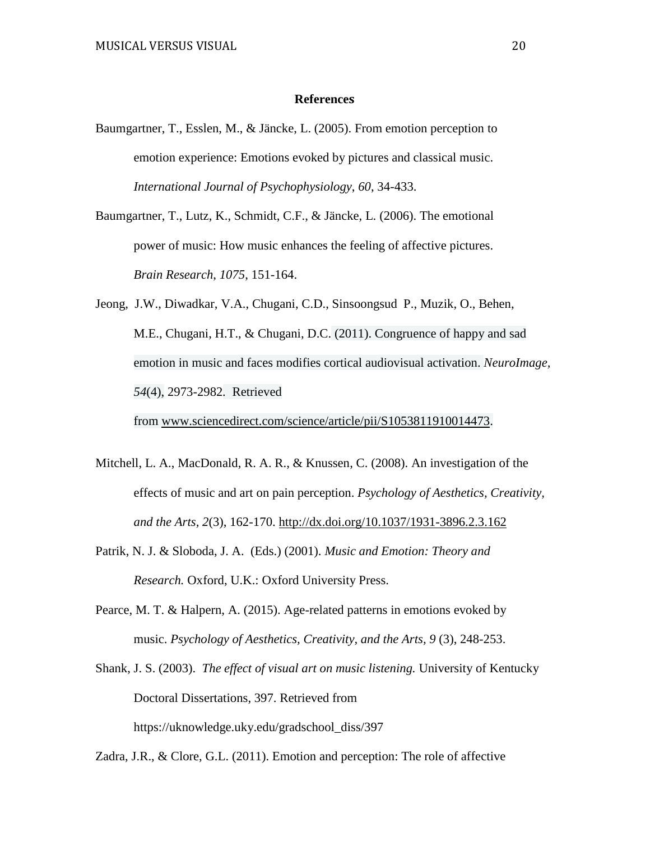## **References**

Baumgartner, T., Esslen, M., & Jäncke, L. (2005). From emotion perception to emotion experience: Emotions evoked by pictures and classical music. *International Journal of Psychophysiology*, *60*, 34-433.

Baumgartner, T., Lutz, K., Schmidt, C.F., & Jäncke, L. (2006). The emotional power of music: How music enhances the feeling of affective pictures. *Brain Research*, *1075*, 151-164.

[Jeong, J.W.](https://www.ncbi.nlm.nih.gov/pubmed/?term=Jeong%20JW%5BAuthor%5D&cauthor=true&cauthor_uid=21073970), [Diwadkar, V.A.](https://www.ncbi.nlm.nih.gov/pubmed/?term=Diwadkar%20VA%5BAuthor%5D&cauthor=true&cauthor_uid=21073970), [Chugani, C.D.](https://www.ncbi.nlm.nih.gov/pubmed/?term=Chugani%20CD%5BAuthor%5D&cauthor=true&cauthor_uid=21073970), [Sinsoongsud P.](https://www.ncbi.nlm.nih.gov/pubmed/?term=Sinsoongsud%20P%5BAuthor%5D&cauthor=true&cauthor_uid=21073970), [Muzik, O.](https://www.ncbi.nlm.nih.gov/pubmed/?term=Muzik%20O%5BAuthor%5D&cauthor=true&cauthor_uid=21073970), [Behen,](https://www.ncbi.nlm.nih.gov/pubmed/?term=Behen%20ME%5BAuthor%5D&cauthor=true&cauthor_uid=21073970)  [M.E.](https://www.ncbi.nlm.nih.gov/pubmed/?term=Behen%20ME%5BAuthor%5D&cauthor=true&cauthor_uid=21073970), [Chugani, H.T.](https://www.ncbi.nlm.nih.gov/pubmed/?term=Chugani%20HT%5BAuthor%5D&cauthor=true&cauthor_uid=21073970), & [Chugani, D.C.](https://www.ncbi.nlm.nih.gov/pubmed/?term=Chugani%20DC%5BAuthor%5D&cauthor=true&cauthor_uid=21073970) (2011). Congruence of happy and sad emotion in music and faces modifies cortical audiovisual activation. *NeuroImage, 54*(4), 2973-2982*.* Retrieved

from [www.sciencedirect.com/science/article/pii/S1053811910014473.](http://www.sciencedirect.com/science/article/pii/S1053811910014473)

- Mitchell, L. A., MacDonald, R. A. R., & Knussen, C. (2008). An investigation of the effects of music and art on pain perception. *Psychology of Aesthetics, Creativity, and the Arts, 2*(3), 162-170. [http://dx.doi.org/10.1037/1931-3896.2.3.162](http://psycnet.apa.org/doi/10.1037/1931-3896.2.3.162)
- Patrik, N. J. & Sloboda, J. A. (Eds.) (2001). *Music and Emotion: Theory and Research.* Oxford, U.K.: Oxford University Press.
- Pearce, M. T. & Halpern, A. (2015). Age-related patterns in emotions evoked by music. *Psychology of Aesthetics, Creativity, and the Arts, 9* (3), 248-253.
- Shank, J. S. (2003). *The effect of visual art on music listening.* University of Kentucky Doctoral Dissertations, 397. Retrieved from https://uknowledge.uky.edu/gradschool\_diss/397

Zadra, J.R., & Clore, G.L. (2011). Emotion and perception: The role of affective